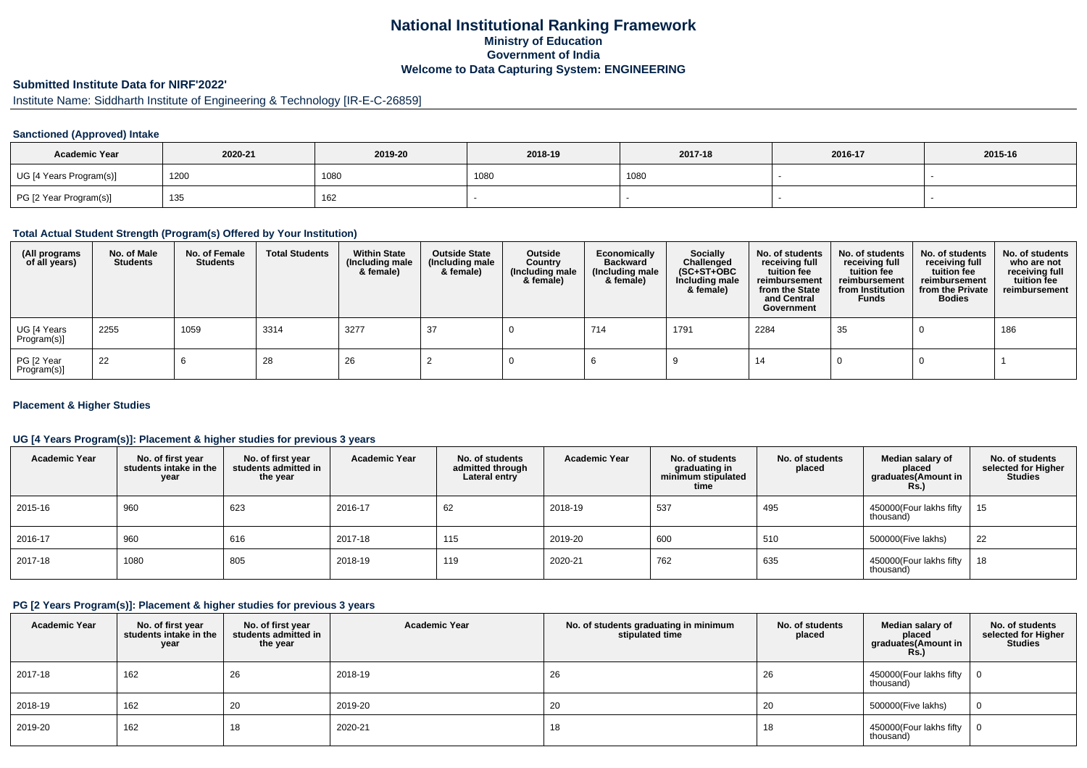### **National Institutional Ranking FrameworkMinistry of Education Government of IndiaWelcome to Data Capturing System: ENGINEERING**

### **Submitted Institute Data for NIRF'2022'**

# Institute Name: Siddharth Institute of Engineering & Technology [IR-E-C-26859]

#### **Sanctioned (Approved) Intake**

| <b>Academic Year</b>    | 2020-21 | 2019-20 | 2018-19 | 2017-18 | 2016-17 | 2015-16 |
|-------------------------|---------|---------|---------|---------|---------|---------|
| UG [4 Years Program(s)] | 1200    | 1080    | 1080    | 1080    |         |         |
| PG [2 Year Program(s)]  | 135     | 162     |         |         |         |         |

#### **Total Actual Student Strength (Program(s) Offered by Your Institution)**

| (All programs<br>of all years) | No. of Male<br><b>Students</b> | No. of Female<br><b>Students</b> | <b>Total Students</b> | <b>Within State</b><br>(Including male<br>& female) | <b>Outside State</b><br>(Including male<br>& female) | Outside<br>Country<br>(Including male<br>& female) | Economically<br><b>Backward</b><br>(Including male<br>& female) | Socially<br>Challenged<br>$(SC+ST+OBC)$<br>Including male<br>& female) | No. of students<br>receiving full<br>tuition fee<br>reimbursement<br>from the State<br>and Central<br>Government | No. of students<br>receiving full<br>tuition fee<br>reimbursement<br>from Institution<br><b>Funds</b> | No. of students<br>receiving full<br>tuition fee<br>reimbursement<br>from the Private<br><b>Bodies</b> | No. of students<br>who are not<br>receiving full<br>tuition fee<br>reimbursement |
|--------------------------------|--------------------------------|----------------------------------|-----------------------|-----------------------------------------------------|------------------------------------------------------|----------------------------------------------------|-----------------------------------------------------------------|------------------------------------------------------------------------|------------------------------------------------------------------------------------------------------------------|-------------------------------------------------------------------------------------------------------|--------------------------------------------------------------------------------------------------------|----------------------------------------------------------------------------------|
| UG [4 Years<br>Program(s)]     | 2255                           | 1059                             | 3314                  | 3277                                                | 37                                                   |                                                    | 714                                                             | 1791                                                                   | 2284                                                                                                             | 35                                                                                                    |                                                                                                        | 186                                                                              |
| PG [2 Year<br>Program(s)]      | 22                             |                                  | 28                    | 26                                                  |                                                      |                                                    |                                                                 |                                                                        | -14                                                                                                              |                                                                                                       |                                                                                                        |                                                                                  |

#### **Placement & Higher Studies**

### **UG [4 Years Program(s)]: Placement & higher studies for previous 3 years**

| <b>Academic Year</b> | No. of first year<br>students intake in the<br>year | No. of first vear<br>students admitted in<br>the year | <b>Academic Year</b> | No. of students<br>admitted through<br>Lateral entry | <b>Academic Year</b> | No. of students<br>graduating in<br>minimum stipulated<br>time | No. of students<br>placed | Median salary of<br>placed<br>graduates(Amount in<br><b>Rs.)</b> | No. of students<br>selected for Higher<br><b>Studies</b> |
|----------------------|-----------------------------------------------------|-------------------------------------------------------|----------------------|------------------------------------------------------|----------------------|----------------------------------------------------------------|---------------------------|------------------------------------------------------------------|----------------------------------------------------------|
| 2015-16              | 960                                                 | 623                                                   | 2016-17              | 62                                                   | 2018-19              | 537                                                            | 495                       | 450000 (Four lakhs fifty<br>thousand)                            | 15                                                       |
| 2016-17              | 960                                                 | 616                                                   | 2017-18              | 115                                                  | 2019-20              | 600                                                            | 510                       | 500000(Five lakhs)                                               | 22                                                       |
| 2017-18              | 1080                                                | 805                                                   | 2018-19              | 119                                                  | 2020-21              | 762                                                            | 635                       | 450000(Four lakhs fifty<br>thousand)                             | 18                                                       |

### **PG [2 Years Program(s)]: Placement & higher studies for previous 3 years**

| <b>Academic Year</b> | No. of first year<br>students intake in the<br>year | No. of first year<br>students admitted in<br>the year | <b>Academic Year</b> | No. of students graduating in minimum<br>stipulated time | No. of students<br>placed | Median salary of<br>placed<br>graduates(Amount in<br>Rs.) | No. of students<br>selected for Higher<br><b>Studies</b> |
|----------------------|-----------------------------------------------------|-------------------------------------------------------|----------------------|----------------------------------------------------------|---------------------------|-----------------------------------------------------------|----------------------------------------------------------|
| 2017-18              | 162                                                 | 26                                                    | 2018-19              | 26                                                       | 26                        | 450000(Four lakhs fifty<br>thousand)                      |                                                          |
| 2018-19              | 162                                                 | 20                                                    | 2019-20              | 20                                                       | 20                        | 500000(Five lakhs)                                        | 0                                                        |
| 2019-20              | 162                                                 | 10                                                    | 2020-21              | 18                                                       | 18                        | 450000 (Four lakhs fifty<br>thousand)                     |                                                          |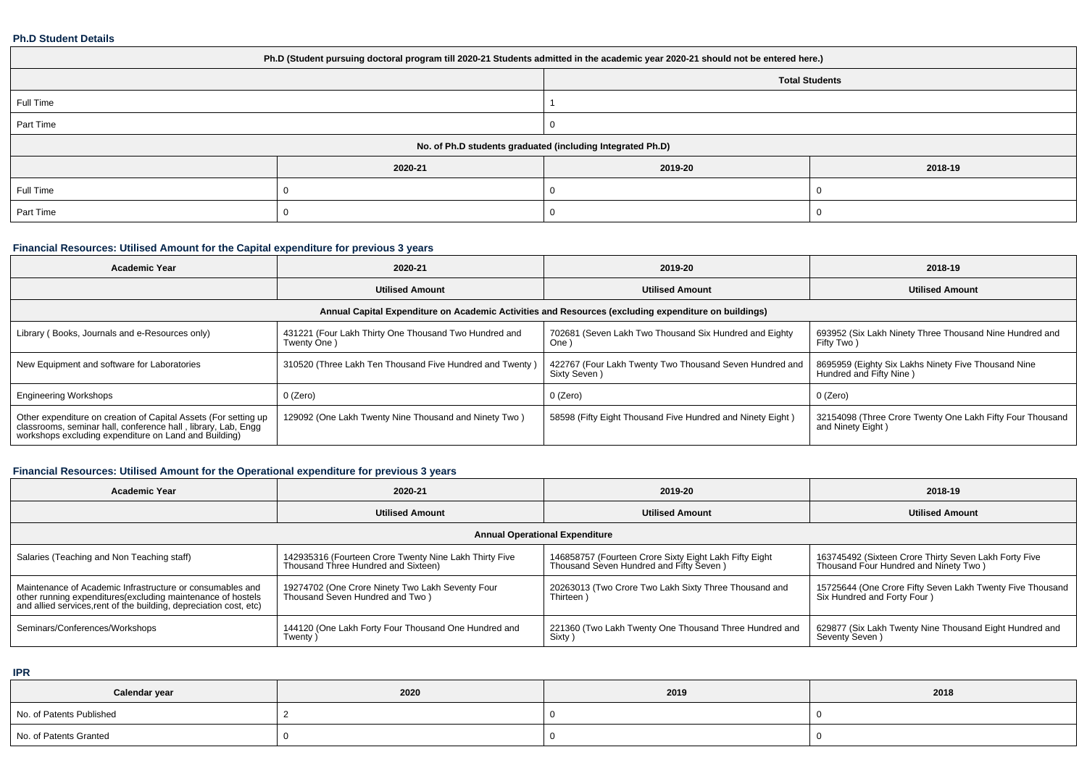#### **Ph.D Student Details**

| Ph.D (Student pursuing doctoral program till 2020-21 Students admitted in the academic year 2020-21 should not be entered here.) |         |         |         |  |  |  |  |
|----------------------------------------------------------------------------------------------------------------------------------|---------|---------|---------|--|--|--|--|
| <b>Total Students</b>                                                                                                            |         |         |         |  |  |  |  |
| Full Time                                                                                                                        |         |         |         |  |  |  |  |
| Part Time                                                                                                                        |         |         |         |  |  |  |  |
| No. of Ph.D students graduated (including Integrated Ph.D)                                                                       |         |         |         |  |  |  |  |
|                                                                                                                                  | 2020-21 | 2019-20 | 2018-19 |  |  |  |  |
| Full Time                                                                                                                        |         |         |         |  |  |  |  |
| Part Time                                                                                                                        |         |         |         |  |  |  |  |

# **Financial Resources: Utilised Amount for the Capital expenditure for previous 3 years**

| <b>Academic Year</b>                                                                                                                                                                   | 2020-21                                                                                              | 2019-20                                                                 | 2018-19                                                                        |  |  |  |  |  |  |
|----------------------------------------------------------------------------------------------------------------------------------------------------------------------------------------|------------------------------------------------------------------------------------------------------|-------------------------------------------------------------------------|--------------------------------------------------------------------------------|--|--|--|--|--|--|
|                                                                                                                                                                                        | <b>Utilised Amount</b>                                                                               | <b>Utilised Amount</b>                                                  | <b>Utilised Amount</b>                                                         |  |  |  |  |  |  |
|                                                                                                                                                                                        | Annual Capital Expenditure on Academic Activities and Resources (excluding expenditure on buildings) |                                                                         |                                                                                |  |  |  |  |  |  |
| Library (Books, Journals and e-Resources only)                                                                                                                                         | 431221 (Four Lakh Thirty One Thousand Two Hundred and<br>Twenty One)                                 | 702681 (Seven Lakh Two Thousand Six Hundred and Eighty<br>One '         | 693952 (Six Lakh Ninety Three Thousand Nine Hundred and<br>Fifty Two)          |  |  |  |  |  |  |
| New Equipment and software for Laboratories                                                                                                                                            | 310520 (Three Lakh Ten Thousand Five Hundred and Twenty)                                             | 422767 (Four Lakh Twenty Two Thousand Seven Hundred and<br>Sixty Seven) | 8695959 (Eighty Six Lakhs Ninety Five Thousand Nine<br>Hundred and Fifty Nine) |  |  |  |  |  |  |
| <b>Engineering Workshops</b>                                                                                                                                                           | 0 (Zero)                                                                                             | 0 (Zero)                                                                | 0 (Zero)                                                                       |  |  |  |  |  |  |
| Other expenditure on creation of Capital Assets (For setting up classrooms, seminar hall, conference hall, library, Lab, Engg<br>workshops excluding expenditure on Land and Building) | 129092 (One Lakh Twenty Nine Thousand and Ninety Two)                                                | 58598 (Fifty Eight Thousand Five Hundred and Ninety Eight)              | 32154098 (Three Crore Twenty One Lakh Fifty Four Thousand<br>and Ninety Eight) |  |  |  |  |  |  |

# **Financial Resources: Utilised Amount for the Operational expenditure for previous 3 years**

| Academic Year                                                                                                                                                                                   | 2020-21                                                                                       | 2019-20                                                                                           | 2018-19                                                                                        |  |  |  |  |  |
|-------------------------------------------------------------------------------------------------------------------------------------------------------------------------------------------------|-----------------------------------------------------------------------------------------------|---------------------------------------------------------------------------------------------------|------------------------------------------------------------------------------------------------|--|--|--|--|--|
|                                                                                                                                                                                                 | <b>Utilised Amount</b><br><b>Utilised Amount</b>                                              |                                                                                                   | <b>Utilised Amount</b>                                                                         |  |  |  |  |  |
| <b>Annual Operational Expenditure</b>                                                                                                                                                           |                                                                                               |                                                                                                   |                                                                                                |  |  |  |  |  |
| Salaries (Teaching and Non Teaching staff)                                                                                                                                                      | 142935316 (Fourteen Crore Twenty Nine Lakh Thirty Five<br>Thousand Three Hundred and Sixteen) | 146858757 (Fourteen Crore Sixty Eight Lakh Fifty Eight<br>Thousand Seven Hundred and Fifty Seven) | 163745492 (Sixteen Crore Thirty Seven Lakh Forty Five<br>Thousand Four Hundred and Ninety Two) |  |  |  |  |  |
| Maintenance of Academic Infrastructure or consumables and<br>other running expenditures (excluding maintenance of hostels<br>and allied services, rent of the building, depreciation cost, etc) | 19274702 (One Crore Ninety Two Lakh Seventy Four<br>Thousand Seven Hundred and Two)           | 20263013 (Two Crore Two Lakh Sixty Three Thousand and<br>Thirteen                                 | 15725644 (One Crore Fifty Seven Lakh Twenty Five Thousand<br>Six Hundred and Forty Four )      |  |  |  |  |  |
| Seminars/Conferences/Workshops                                                                                                                                                                  | 144120 (One Lakh Forty Four Thousand One Hundred and<br>Twenty)                               | 221360 (Two Lakh Twenty One Thousand Three Hundred and<br>Sixty                                   | 629877 (Six Lakh Twenty Nine Thousand Eight Hundred and<br>Seventy Seven)                      |  |  |  |  |  |

**IPR**

| Calendar year            | 2020 | 2019 | 2018 |
|--------------------------|------|------|------|
| No. of Patents Published |      |      |      |
| No. of Patents Granted   |      |      |      |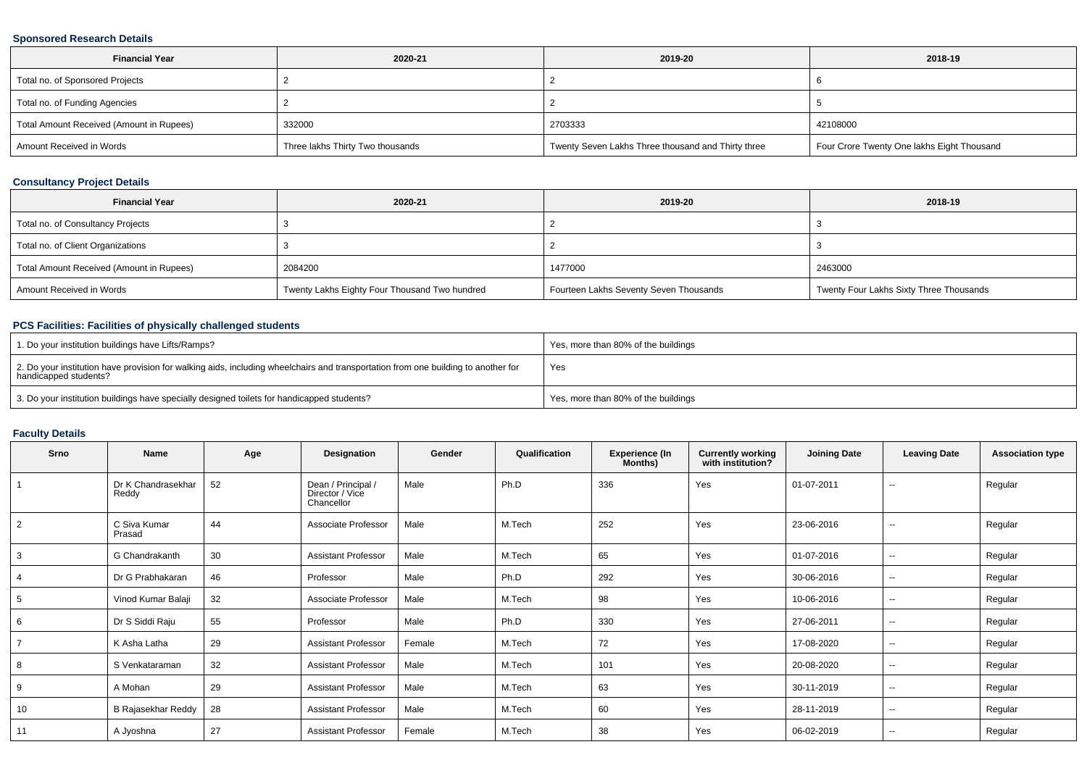### **Sponsored Research Details**

| <b>Financial Year</b>                    | 2020-21                          | 2019-20                                            | 2018-19                                    |
|------------------------------------------|----------------------------------|----------------------------------------------------|--------------------------------------------|
| Total no. of Sponsored Projects          |                                  |                                                    |                                            |
| Total no. of Funding Agencies            |                                  |                                                    |                                            |
| Total Amount Received (Amount in Rupees) | 332000                           | 2703333                                            | 42108000                                   |
| Amount Received in Words                 | Three lakhs Thirty Two thousands | Twenty Seven Lakhs Three thousand and Thirty three | Four Crore Twenty One lakhs Eight Thousand |

### **Consultancy Project Details**

| <b>Financial Year</b>                    | 2020-21                                       | 2019-20                                | 2018-19                                 |
|------------------------------------------|-----------------------------------------------|----------------------------------------|-----------------------------------------|
| Total no. of Consultancy Projects        |                                               |                                        |                                         |
| Total no. of Client Organizations        |                                               |                                        |                                         |
| Total Amount Received (Amount in Rupees) | 2084200                                       | 1477000                                | 2463000                                 |
| Amount Received in Words                 | Twenty Lakhs Eighty Four Thousand Two hundred | Fourteen Lakhs Seventy Seven Thousands | Twenty Four Lakhs Sixty Three Thousands |

# **PCS Facilities: Facilities of physically challenged students**

| 1. Do your institution buildings have Lifts/Ramps?                                                                                                         | Yes, more than 80% of the buildings |
|------------------------------------------------------------------------------------------------------------------------------------------------------------|-------------------------------------|
| 2. Do your institution have provision for walking aids, including wheelchairs and transportation from one building to another for<br>handicapped students? | Yes                                 |
| 3. Do your institution buildings have specially designed toilets for handicapped students?                                                                 | Yes, more than 80% of the buildings |

# **Faculty Details**

| Srno           | <b>Name</b>                 | Age | Designation                                         | Gender | Qualification | <b>Experience (In</b><br>Months) | <b>Currently working</b><br>with institution? | <b>Joining Date</b> | <b>Leaving Date</b>      | <b>Association type</b> |
|----------------|-----------------------------|-----|-----------------------------------------------------|--------|---------------|----------------------------------|-----------------------------------------------|---------------------|--------------------------|-------------------------|
|                | Dr K Chandrasekhar<br>Reddy | 52  | Dean / Principal /<br>Director / Vice<br>Chancellor | Male   | Ph.D          | 336                              | Yes                                           | 01-07-2011          | $\overline{\phantom{a}}$ | Regular                 |
| 2              | C Siva Kumar<br>Prasad      | 44  | Associate Professor                                 | Male   | M.Tech        | 252                              | Yes                                           | 23-06-2016          | --                       | Regular                 |
| 3              | G Chandrakanth              | 30  | <b>Assistant Professor</b>                          | Male   | M.Tech        | 65                               | Yes                                           | 01-07-2016          | $\sim$                   | Regular                 |
| 4              | Dr G Prabhakaran            | 46  | Professor                                           | Male   | Ph.D          | 292                              | Yes                                           | 30-06-2016          | --                       | Regular                 |
| 5              | Vinod Kumar Balaji          | 32  | Associate Professor                                 | Male   | M.Tech        | 98                               | Yes                                           | 10-06-2016          | $\sim$                   | Regular                 |
| 6              | Dr S Siddi Raju             | 55  | Professor                                           | Male   | Ph.D          | 330                              | Yes                                           | 27-06-2011          | $\sim$                   | Regular                 |
| $\overline{7}$ | K Asha Latha                | 29  | <b>Assistant Professor</b>                          | Female | M.Tech        | 72                               | Yes                                           | 17-08-2020          | --                       | Regular                 |
| 8              | S Venkataraman              | 32  | <b>Assistant Professor</b>                          | Male   | M.Tech        | 101                              | Yes                                           | 20-08-2020          | $\sim$                   | Regular                 |
| 9              | A Mohan                     | 29  | <b>Assistant Professor</b>                          | Male   | M.Tech        | 63                               | Yes                                           | 30-11-2019          | $\sim$                   | Regular                 |
| 10             | <b>B Rajasekhar Reddy</b>   | 28  | <b>Assistant Professor</b>                          | Male   | M.Tech        | 60                               | Yes                                           | 28-11-2019          | $\sim$                   | Regular                 |
| 11             | A Jyoshna                   | 27  | <b>Assistant Professor</b>                          | Female | M.Tech        | 38                               | Yes                                           | 06-02-2019          | $\overline{\phantom{a}}$ | Regular                 |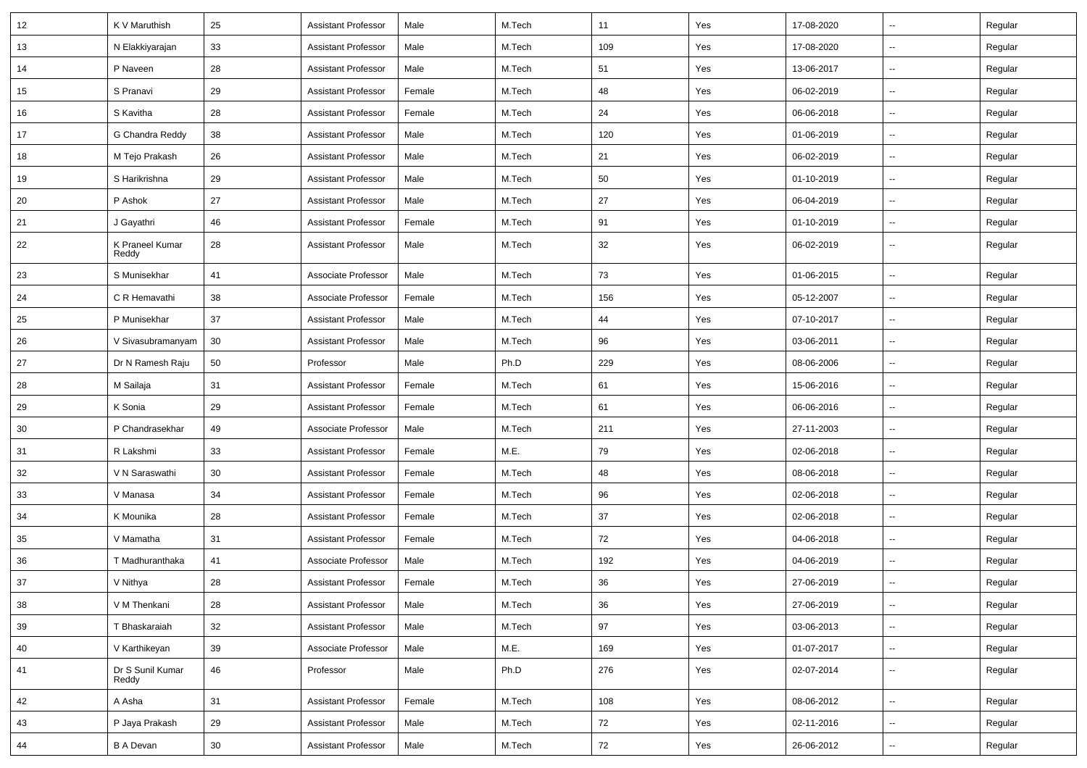| 12 | K V Maruthish             | 25     | <b>Assistant Professor</b> | Male   | M.Tech | 11  | Yes | 17-08-2020 | Ш,                       | Regular |
|----|---------------------------|--------|----------------------------|--------|--------|-----|-----|------------|--------------------------|---------|
| 13 | N Elakkiyarajan           | 33     | <b>Assistant Professor</b> | Male   | M.Tech | 109 | Yes | 17-08-2020 | н.                       | Regular |
| 14 | P Naveen                  | 28     | <b>Assistant Professor</b> | Male   | M.Tech | 51  | Yes | 13-06-2017 | -−                       | Regular |
| 15 | S Pranavi                 | 29     | <b>Assistant Professor</b> | Female | M.Tech | 48  | Yes | 06-02-2019 | $\overline{\phantom{a}}$ | Regular |
| 16 | S Kavitha                 | 28     | <b>Assistant Professor</b> | Female | M.Tech | 24  | Yes | 06-06-2018 | $\overline{a}$           | Regular |
| 17 | G Chandra Reddy           | 38     | <b>Assistant Professor</b> | Male   | M.Tech | 120 | Yes | 01-06-2019 | -−                       | Regular |
| 18 | M Tejo Prakash            | 26     | <b>Assistant Professor</b> | Male   | M.Tech | 21  | Yes | 06-02-2019 | Ξ.                       | Regular |
| 19 | S Harikrishna             | 29     | <b>Assistant Professor</b> | Male   | M.Tech | 50  | Yes | 01-10-2019 | ⊷.                       | Regular |
| 20 | P Ashok                   | 27     | <b>Assistant Professor</b> | Male   | M.Tech | 27  | Yes | 06-04-2019 | -−                       | Regular |
| 21 | J Gayathri                | 46     | <b>Assistant Professor</b> | Female | M.Tech | 91  | Yes | 01-10-2019 | -−                       | Regular |
| 22 | K Praneel Kumar<br>Reddy  | 28     | <b>Assistant Professor</b> | Male   | M.Tech | 32  | Yes | 06-02-2019 | --                       | Regular |
| 23 | S Munisekhar              | 41     | Associate Professor        | Male   | M.Tech | 73  | Yes | 01-06-2015 | $\overline{\phantom{a}}$ | Regular |
| 24 | C R Hemavathi             | 38     | Associate Professor        | Female | M.Tech | 156 | Yes | 05-12-2007 | --                       | Regular |
| 25 | P Munisekhar              | 37     | <b>Assistant Professor</b> | Male   | M.Tech | 44  | Yes | 07-10-2017 | $\mathbf{u}$             | Regular |
| 26 | V Sivasubramanyam         | 30     | <b>Assistant Professor</b> | Male   | M.Tech | 96  | Yes | 03-06-2011 | н.                       | Regular |
| 27 | Dr N Ramesh Raju          | 50     | Professor                  | Male   | Ph.D   | 229 | Yes | 08-06-2006 | $\overline{\phantom{a}}$ | Regular |
| 28 | M Sailaja                 | 31     | <b>Assistant Professor</b> | Female | M.Tech | 61  | Yes | 15-06-2016 | Ξ.                       | Regular |
| 29 | K Sonia                   | 29     | <b>Assistant Professor</b> | Female | M.Tech | 61  | Yes | 06-06-2016 | $\overline{\phantom{a}}$ | Regular |
| 30 | P Chandrasekhar           | 49     | Associate Professor        | Male   | M.Tech | 211 | Yes | 27-11-2003 | -−                       | Regular |
| 31 | R Lakshmi                 | 33     | <b>Assistant Professor</b> | Female | M.E.   | 79  | Yes | 02-06-2018 | Ξ.                       | Regular |
| 32 | V N Saraswathi            | 30     | <b>Assistant Professor</b> | Female | M.Tech | 48  | Yes | 08-06-2018 | н.                       | Regular |
| 33 | V Manasa                  | 34     | <b>Assistant Professor</b> | Female | M.Tech | 96  | Yes | 02-06-2018 | н.                       | Regular |
| 34 | K Mounika                 | 28     | <b>Assistant Professor</b> | Female | M.Tech | 37  | Yes | 02-06-2018 | $\overline{\phantom{a}}$ | Regular |
| 35 | V Mamatha                 | 31     | <b>Assistant Professor</b> | Female | M.Tech | 72  | Yes | 04-06-2018 | $\overline{\phantom{a}}$ | Regular |
| 36 | T Madhuranthaka           | 41     | Associate Professor        | Male   | M.Tech | 192 | Yes | 04-06-2019 | $\overline{a}$           | Regular |
| 37 | V Nithya                  | 28     | <b>Assistant Professor</b> | Female | M.Tech | 36  | Yes | 27-06-2019 | -−                       | Regular |
| 38 | V M Thenkani              | 28     | <b>Assistant Professor</b> | Male   | M.Tech | 36  | Yes | 27-06-2019 | $\sim$                   | Regular |
| 39 | T Bhaskaraiah             | 32     | <b>Assistant Professor</b> | Male   | M.Tech | 97  | Yes | 03-06-2013 | $\sim$                   | Regular |
| 40 | V Karthikeyan             | 39     | Associate Professor        | Male   | M.E.   | 169 | Yes | 01-07-2017 | $\overline{\phantom{a}}$ | Regular |
| 41 | Dr S Sunil Kumar<br>Reddy | 46     | Professor                  | Male   | Ph.D   | 276 | Yes | 02-07-2014 | Щ,                       | Regular |
| 42 | A Asha                    | 31     | <b>Assistant Professor</b> | Female | M.Tech | 108 | Yes | 08-06-2012 | н.                       | Regular |
| 43 | P Jaya Prakash            | 29     | <b>Assistant Professor</b> | Male   | M.Tech | 72  | Yes | 02-11-2016 | $\sim$                   | Regular |
| 44 | <b>B A Devan</b>          | $30\,$ | <b>Assistant Professor</b> | Male   | M.Tech | 72  | Yes | 26-06-2012 | $\overline{\phantom{a}}$ | Regular |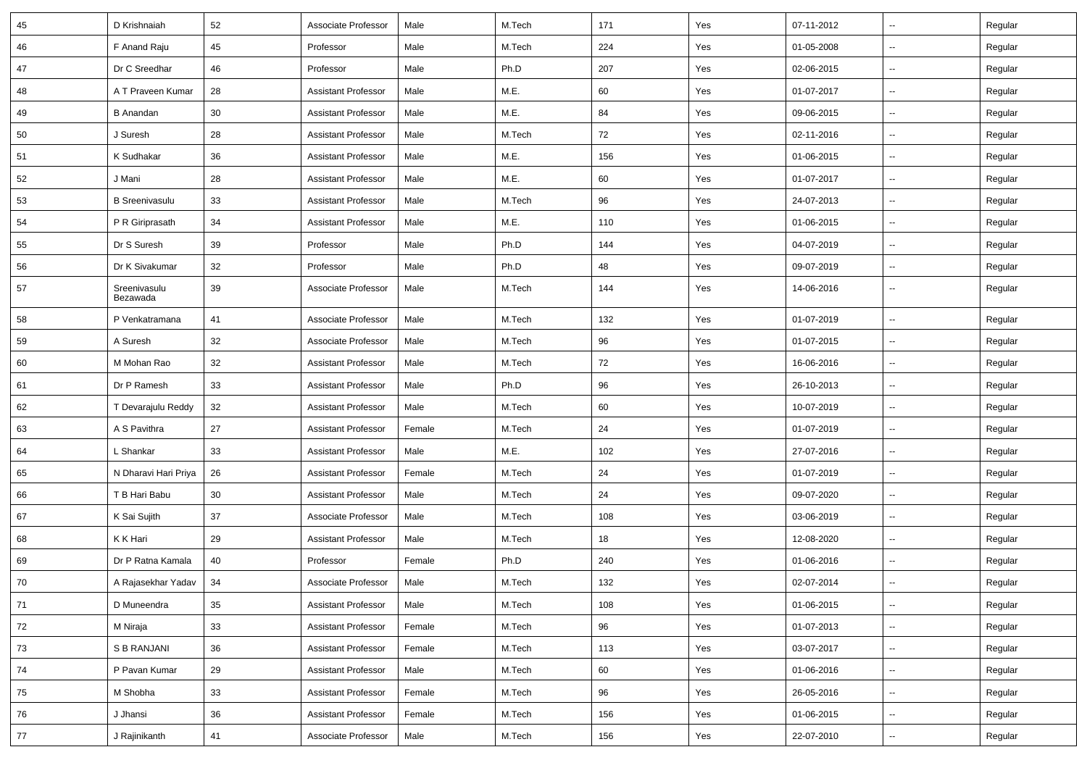| 45 | D Krishnaiah             | 52 | Associate Professor        | Male   | M.Tech | 171 | Yes | 07-11-2012 | $\sim$                   | Regular |
|----|--------------------------|----|----------------------------|--------|--------|-----|-----|------------|--------------------------|---------|
| 46 | F Anand Raju             | 45 | Professor                  | Male   | M.Tech | 224 | Yes | 01-05-2008 | $\sim$                   | Regular |
| 47 | Dr C Sreedhar            | 46 | Professor                  | Male   | Ph.D   | 207 | Yes | 02-06-2015 | --                       | Regular |
| 48 | A T Praveen Kumar        | 28 | <b>Assistant Professor</b> | Male   | M.E.   | 60  | Yes | 01-07-2017 | --                       | Regular |
| 49 | <b>B</b> Anandan         | 30 | <b>Assistant Professor</b> | Male   | M.E.   | 84  | Yes | 09-06-2015 | $\sim$                   | Regular |
| 50 | J Suresh                 | 28 | <b>Assistant Professor</b> | Male   | M.Tech | 72  | Yes | 02-11-2016 | $\sim$                   | Regular |
| 51 | K Sudhakar               | 36 | <b>Assistant Professor</b> | Male   | M.E.   | 156 | Yes | 01-06-2015 | $\sim$                   | Regular |
| 52 | J Mani                   | 28 | <b>Assistant Professor</b> | Male   | M.E.   | 60  | Yes | 01-07-2017 | $\sim$                   | Regular |
| 53 | <b>B</b> Sreenivasulu    | 33 | <b>Assistant Professor</b> | Male   | M.Tech | 96  | Yes | 24-07-2013 | $\overline{\phantom{a}}$ | Regular |
| 54 | P R Giriprasath          | 34 | <b>Assistant Professor</b> | Male   | M.E.   | 110 | Yes | 01-06-2015 | --                       | Regular |
| 55 | Dr S Suresh              | 39 | Professor                  | Male   | Ph.D   | 144 | Yes | 04-07-2019 | $\overline{\phantom{a}}$ | Regular |
| 56 | Dr K Sivakumar           | 32 | Professor                  | Male   | Ph.D   | 48  | Yes | 09-07-2019 | $\sim$                   | Regular |
| 57 | Sreenivasulu<br>Bezawada | 39 | Associate Professor        | Male   | M.Tech | 144 | Yes | 14-06-2016 | $\sim$                   | Regular |
| 58 | P Venkatramana           | 41 | Associate Professor        | Male   | M.Tech | 132 | Yes | 01-07-2019 | $\overline{\phantom{a}}$ | Regular |
| 59 | A Suresh                 | 32 | Associate Professor        | Male   | M.Tech | 96  | Yes | 01-07-2015 | $\sim$                   | Regular |
| 60 | M Mohan Rao              | 32 | <b>Assistant Professor</b> | Male   | M.Tech | 72  | Yes | 16-06-2016 | $\sim$                   | Regular |
| 61 | Dr P Ramesh              | 33 | <b>Assistant Professor</b> | Male   | Ph.D   | 96  | Yes | 26-10-2013 | $\overline{\phantom{a}}$ | Regular |
| 62 | T Devarajulu Reddy       | 32 | <b>Assistant Professor</b> | Male   | M.Tech | 60  | Yes | 10-07-2019 | $\sim$                   | Regular |
| 63 | A S Pavithra             | 27 | <b>Assistant Professor</b> | Female | M.Tech | 24  | Yes | 01-07-2019 | $\sim$                   | Regular |
| 64 | L Shankar                | 33 | <b>Assistant Professor</b> | Male   | M.E.   | 102 | Yes | 27-07-2016 | $\sim$                   | Regular |
| 65 | N Dharavi Hari Priya     | 26 | <b>Assistant Professor</b> | Female | M.Tech | 24  | Yes | 01-07-2019 | $\sim$                   | Regular |
| 66 | T B Hari Babu            | 30 | <b>Assistant Professor</b> | Male   | M.Tech | 24  | Yes | 09-07-2020 | $\overline{\phantom{a}}$ | Regular |
| 67 | K Sai Sujith             | 37 | Associate Professor        | Male   | M.Tech | 108 | Yes | 03-06-2019 | $\overline{\phantom{a}}$ | Regular |
| 68 | K K Hari                 | 29 | <b>Assistant Professor</b> | Male   | M.Tech | 18  | Yes | 12-08-2020 | $\sim$                   | Regular |
| 69 | Dr P Ratna Kamala        | 40 | Professor                  | Female | Ph.D   | 240 | Yes | 01-06-2016 | $\overline{\phantom{a}}$ | Regular |
| 70 | A Rajasekhar Yadav       | 34 | Associate Professor        | Male   | M.Tech | 132 | Yes | 02-07-2014 | ÷.                       | Regular |
| 71 | D Muneendra              | 35 | <b>Assistant Professor</b> | Male   | M.Tech | 108 | Yes | 01-06-2015 | $\sim$                   | Regular |
| 72 | M Niraja                 | 33 | <b>Assistant Professor</b> | Female | M.Tech | 96  | Yes | 01-07-2013 | $\overline{\phantom{a}}$ | Regular |
| 73 | S B RANJANI              | 36 | <b>Assistant Professor</b> | Female | M.Tech | 113 | Yes | 03-07-2017 | Щ,                       | Regular |
| 74 | P Pavan Kumar            | 29 | <b>Assistant Professor</b> | Male   | M.Tech | 60  | Yes | 01-06-2016 | $\sim$                   | Regular |
| 75 | M Shobha                 | 33 | <b>Assistant Professor</b> | Female | M.Tech | 96  | Yes | 26-05-2016 | $\sim$                   | Regular |
| 76 | J Jhansi                 | 36 | <b>Assistant Professor</b> | Female | M.Tech | 156 | Yes | 01-06-2015 | $\sim$                   | Regular |
| 77 | J Rajinikanth            | 41 | Associate Professor        | Male   | M.Tech | 156 | Yes | 22-07-2010 | $\sim$                   | Regular |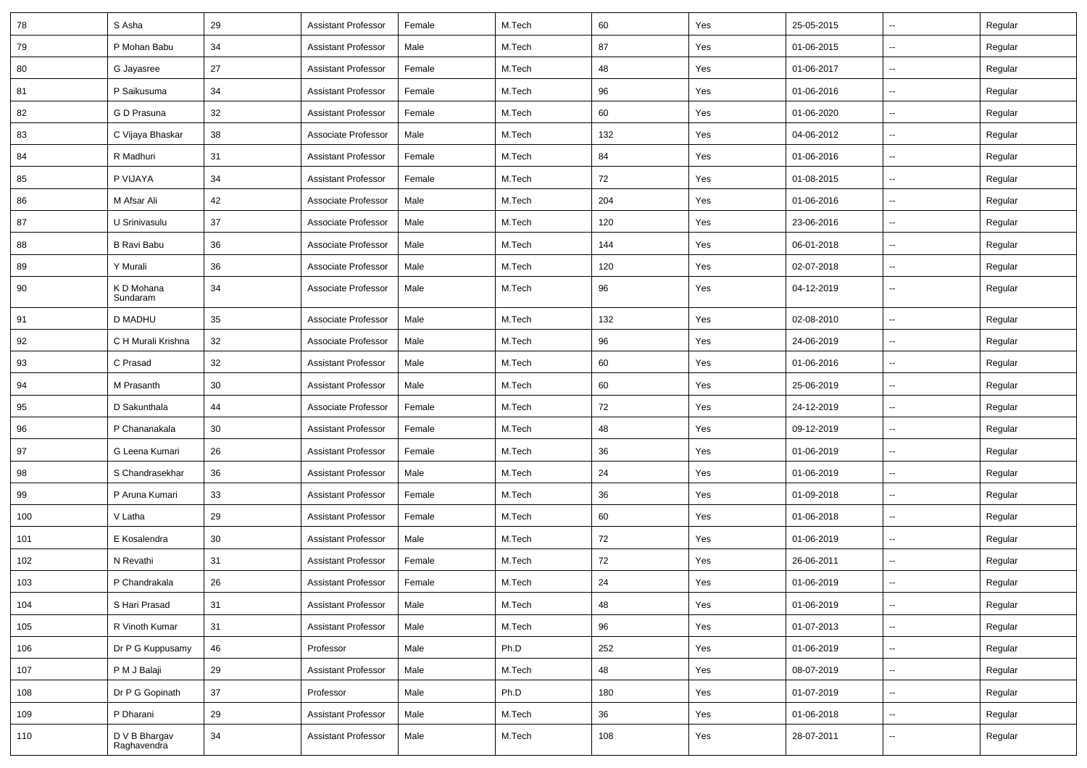| 78  | S Asha                       | 29     | <b>Assistant Professor</b> | Female | M.Tech | 60  | Yes | 25-05-2015 | Ш,                       | Regular |
|-----|------------------------------|--------|----------------------------|--------|--------|-----|-----|------------|--------------------------|---------|
| 79  | P Mohan Babu                 | 34     | <b>Assistant Professor</b> | Male   | M.Tech | 87  | Yes | 01-06-2015 | н.                       | Regular |
| 80  | G Jayasree                   | 27     | <b>Assistant Professor</b> | Female | M.Tech | 48  | Yes | 01-06-2017 | -−                       | Regular |
| 81  | P Saikusuma                  | 34     | <b>Assistant Professor</b> | Female | M.Tech | 96  | Yes | 01-06-2016 | $\overline{\phantom{a}}$ | Regular |
| 82  | G D Prasuna                  | 32     | <b>Assistant Professor</b> | Female | M.Tech | 60  | Yes | 01-06-2020 | --                       | Regular |
| 83  | C Vijaya Bhaskar             | 38     | Associate Professor        | Male   | M.Tech | 132 | Yes | 04-06-2012 | -−                       | Regular |
| 84  | R Madhuri                    | 31     | <b>Assistant Professor</b> | Female | M.Tech | 84  | Yes | 01-06-2016 | Ξ.                       | Regular |
| 85  | P VIJAYA                     | 34     | <b>Assistant Professor</b> | Female | M.Tech | 72  | Yes | 01-08-2015 | ⊷.                       | Regular |
| 86  | M Afsar Ali                  | 42     | Associate Professor        | Male   | M.Tech | 204 | Yes | 01-06-2016 | -−                       | Regular |
| 87  | U Srinivasulu                | 37     | Associate Professor        | Male   | M.Tech | 120 | Yes | 23-06-2016 | $\overline{a}$           | Regular |
| 88  | <b>B Ravi Babu</b>           | 36     | Associate Professor        | Male   | M.Tech | 144 | Yes | 06-01-2018 | --                       | Regular |
| 89  | Y Murali                     | 36     | Associate Professor        | Male   | M.Tech | 120 | Yes | 02-07-2018 | -−                       | Regular |
| 90  | K D Mohana<br>Sundaram       | 34     | Associate Professor        | Male   | M.Tech | 96  | Yes | 04-12-2019 | $\sim$                   | Regular |
| 91  | <b>D MADHU</b>               | 35     | Associate Professor        | Male   | M.Tech | 132 | Yes | 02-08-2010 | $\mathbf{u}$             | Regular |
| 92  | C H Murali Krishna           | 32     | Associate Professor        | Male   | M.Tech | 96  | Yes | 24-06-2019 | $\overline{\phantom{a}}$ | Regular |
| 93  | C Prasad                     | 32     | <b>Assistant Professor</b> | Male   | M.Tech | 60  | Yes | 01-06-2016 | $\overline{\phantom{a}}$ | Regular |
| 94  | M Prasanth                   | 30     | <b>Assistant Professor</b> | Male   | M.Tech | 60  | Yes | 25-06-2019 | $\sim$                   | Regular |
| 95  | D Sakunthala                 | 44     | Associate Professor        | Female | M.Tech | 72  | Yes | 24-12-2019 | $\overline{\phantom{a}}$ | Regular |
| 96  | P Chananakala                | 30     | <b>Assistant Professor</b> | Female | M.Tech | 48  | Yes | 09-12-2019 | -−                       | Regular |
| 97  | G Leena Kumari               | 26     | <b>Assistant Professor</b> | Female | M.Tech | 36  | Yes | 01-06-2019 | $\mathbf{u}$             | Regular |
| 98  | S Chandrasekhar              | 36     | <b>Assistant Professor</b> | Male   | M.Tech | 24  | Yes | 01-06-2019 | н.                       | Regular |
| 99  | P Aruna Kumari               | 33     | <b>Assistant Professor</b> | Female | M.Tech | 36  | Yes | 01-09-2018 | н.                       | Regular |
| 100 | V Latha                      | 29     | <b>Assistant Professor</b> | Female | M.Tech | 60  | Yes | 01-06-2018 | $\overline{\phantom{a}}$ | Regular |
| 101 | E Kosalendra                 | 30     | <b>Assistant Professor</b> | Male   | M.Tech | 72  | Yes | 01-06-2019 | $\overline{\phantom{a}}$ | Regular |
| 102 | N Revathi                    | 31     | <b>Assistant Professor</b> | Female | M.Tech | 72  | Yes | 26-06-2011 | $\overline{a}$           | Regular |
| 103 | P Chandrakala                | 26     | <b>Assistant Professor</b> | Female | M.Tech | 24  | Yes | 01-06-2019 | -−                       | Regular |
| 104 | S Hari Prasad                | 31     | <b>Assistant Professor</b> | Male   | M.Tech | 48  | Yes | 01-06-2019 | $\sim$                   | Regular |
| 105 | R Vinoth Kumar               | 31     | Assistant Professor        | Male   | M.Tech | 96  | Yes | 01-07-2013 | $\sim$                   | Regular |
| 106 | Dr P G Kuppusamy             | 46     | Professor                  | Male   | Ph.D   | 252 | Yes | 01-06-2019 | $\overline{\phantom{a}}$ | Regular |
| 107 | P M J Balaji                 | 29     | <b>Assistant Professor</b> | Male   | M.Tech | 48  | Yes | 08-07-2019 | $\sim$                   | Regular |
| 108 | Dr P G Gopinath              | $37\,$ | Professor                  | Male   | Ph.D   | 180 | Yes | 01-07-2019 | ÷.                       | Regular |
| 109 | P Dharani                    | 29     | <b>Assistant Professor</b> | Male   | M.Tech | 36  | Yes | 01-06-2018 | $\overline{\phantom{a}}$ | Regular |
| 110 | D V B Bhargav<br>Raghavendra | 34     | <b>Assistant Professor</b> | Male   | M.Tech | 108 | Yes | 28-07-2011 | $\sim$                   | Regular |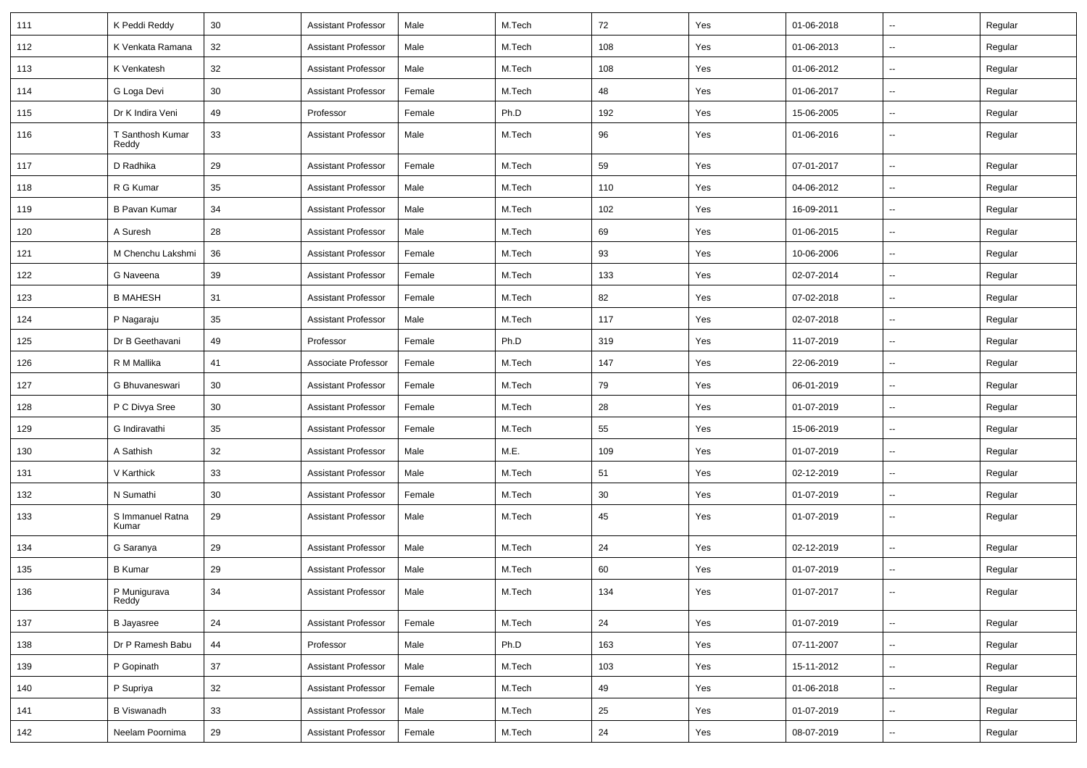| 111 | K Peddi Reddy             | 30     | <b>Assistant Professor</b> | Male   | M.Tech | 72  | Yes | 01-06-2018 | $\overline{\phantom{a}}$ | Regular |
|-----|---------------------------|--------|----------------------------|--------|--------|-----|-----|------------|--------------------------|---------|
| 112 | K Venkata Ramana          | 32     | <b>Assistant Professor</b> | Male   | M.Tech | 108 | Yes | 01-06-2013 | н.                       | Regular |
| 113 | K Venkatesh               | 32     | <b>Assistant Professor</b> | Male   | M.Tech | 108 | Yes | 01-06-2012 | ⊶.                       | Regular |
| 114 | G Loga Devi               | 30     | <b>Assistant Professor</b> | Female | M.Tech | 48  | Yes | 01-06-2017 | --                       | Regular |
| 115 | Dr K Indira Veni          | 49     | Professor                  | Female | Ph.D   | 192 | Yes | 15-06-2005 | н.                       | Regular |
| 116 | T Santhosh Kumar<br>Reddy | 33     | <b>Assistant Professor</b> | Male   | M.Tech | 96  | Yes | 01-06-2016 | $\sim$                   | Regular |
| 117 | D Radhika                 | 29     | Assistant Professor        | Female | M.Tech | 59  | Yes | 07-01-2017 | $\sim$                   | Regular |
| 118 | R G Kumar                 | 35     | Assistant Professor        | Male   | M.Tech | 110 | Yes | 04-06-2012 | $\overline{\phantom{a}}$ | Regular |
| 119 | <b>B Pavan Kumar</b>      | 34     | <b>Assistant Professor</b> | Male   | M.Tech | 102 | Yes | 16-09-2011 | н.                       | Regular |
| 120 | A Suresh                  | 28     | <b>Assistant Professor</b> | Male   | M.Tech | 69  | Yes | 01-06-2015 | $\overline{\phantom{a}}$ | Regular |
| 121 | M Chenchu Lakshmi         | 36     | <b>Assistant Professor</b> | Female | M.Tech | 93  | Yes | 10-06-2006 | --                       | Regular |
| 122 | G Naveena                 | 39     | <b>Assistant Professor</b> | Female | M.Tech | 133 | Yes | 02-07-2014 | -−                       | Regular |
| 123 | <b>B MAHESH</b>           | 31     | <b>Assistant Professor</b> | Female | M.Tech | 82  | Yes | 07-02-2018 | $\sim$                   | Regular |
| 124 | P Nagaraju                | 35     | <b>Assistant Professor</b> | Male   | M.Tech | 117 | Yes | 02-07-2018 | $\overline{\phantom{a}}$ | Regular |
| 125 | Dr B Geethavani           | 49     | Professor                  | Female | Ph.D   | 319 | Yes | 11-07-2019 | -−                       | Regular |
| 126 | R M Mallika               | 41     | Associate Professor        | Female | M.Tech | 147 | Yes | 22-06-2019 | $\sim$                   | Regular |
| 127 | G Bhuvaneswari            | 30     | <b>Assistant Professor</b> | Female | M.Tech | 79  | Yes | 06-01-2019 | ⊶.                       | Regular |
| 128 | P C Divya Sree            | 30     | <b>Assistant Professor</b> | Female | M.Tech | 28  | Yes | 01-07-2019 | -−                       | Regular |
| 129 | G Indiravathi             | 35     | <b>Assistant Professor</b> | Female | M.Tech | 55  | Yes | 15-06-2019 | ш.                       | Regular |
| 130 | A Sathish                 | 32     | <b>Assistant Professor</b> | Male   | M.E.   | 109 | Yes | 01-07-2019 | $\overline{\phantom{a}}$ | Regular |
| 131 | V Karthick                | 33     | Assistant Professor        | Male   | M.Tech | 51  | Yes | 02-12-2019 | ⊶.                       | Regular |
| 132 | N Sumathi                 | 30     | <b>Assistant Professor</b> | Female | M.Tech | 30  | Yes | 01-07-2019 | $\overline{\phantom{a}}$ | Regular |
| 133 | S Immanuel Ratna<br>Kumar | 29     | <b>Assistant Professor</b> | Male   | M.Tech | 45  | Yes | 01-07-2019 | $\overline{\phantom{a}}$ | Regular |
| 134 | G Saranya                 | 29     | <b>Assistant Professor</b> | Male   | M.Tech | 24  | Yes | 02-12-2019 | ⊷.                       | Regular |
| 135 | <b>B</b> Kumar            | 29     | <b>Assistant Professor</b> | Male   | M.Tech | 60  | Yes | 01-07-2019 | -−                       | Regular |
| 136 | P Munigurava<br>Reddy     | 34     | Assistant Professor        | Male   | M.Tech | 134 | Yes | 01-07-2017 |                          | Regular |
| 137 | <b>B</b> Jayasree         | 24     | <b>Assistant Professor</b> | Female | M.Tech | 24  | Yes | 01-07-2019 | $\bar{\phantom{a}}$      | Regular |
| 138 | Dr P Ramesh Babu          | 44     | Professor                  | Male   | Ph.D   | 163 | Yes | 07-11-2007 | Щ,                       | Regular |
| 139 | P Gopinath                | 37     | <b>Assistant Professor</b> | Male   | M.Tech | 103 | Yes | 15-11-2012 | Щ,                       | Regular |
| 140 | P Supriya                 | 32     | <b>Assistant Professor</b> | Female | M.Tech | 49  | Yes | 01-06-2018 | Щ,                       | Regular |
| 141 | <b>B</b> Viswanadh        | $33\,$ | <b>Assistant Professor</b> | Male   | M.Tech | 25  | Yes | 01-07-2019 | $\overline{\phantom{a}}$ | Regular |
| 142 | Neelam Poornima           | 29     | <b>Assistant Professor</b> | Female | M.Tech | 24  | Yes | 08-07-2019 | $\overline{\phantom{a}}$ | Regular |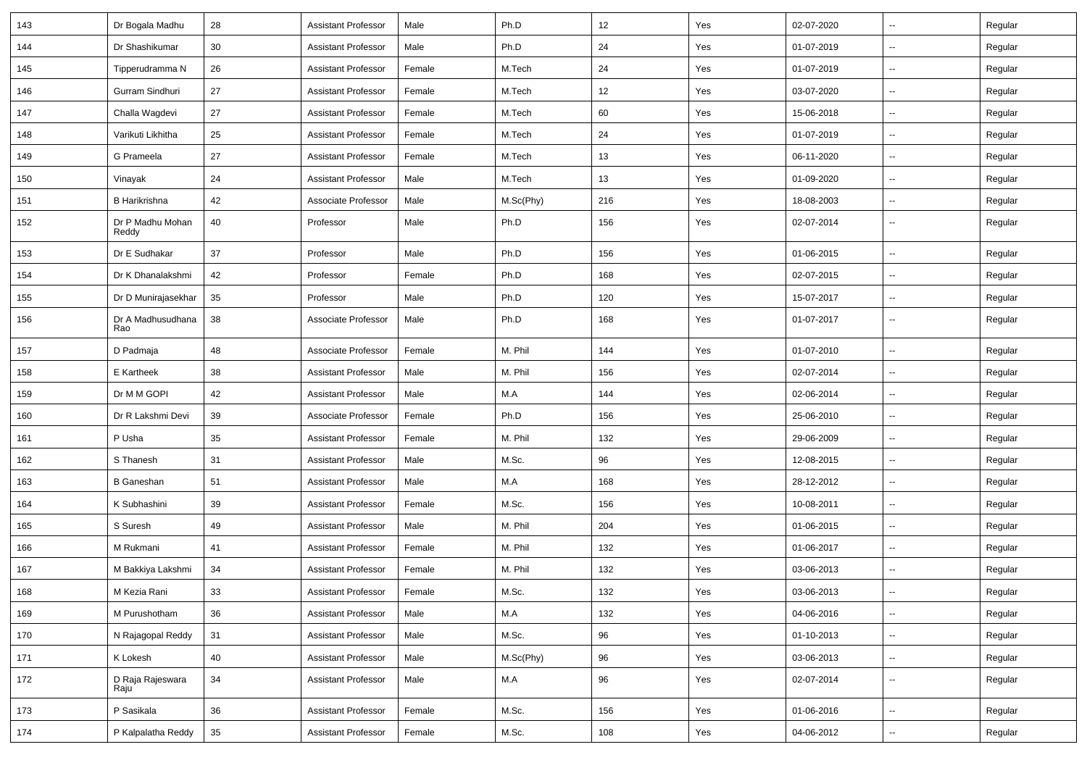| 143 | Dr Bogala Madhu           | 28     | <b>Assistant Professor</b> | Male   | Ph.D      | 12  | Yes | 02-07-2020 | $\overline{\phantom{a}}$ | Regular |
|-----|---------------------------|--------|----------------------------|--------|-----------|-----|-----|------------|--------------------------|---------|
| 144 | Dr Shashikumar            | 30     | <b>Assistant Professor</b> | Male   | Ph.D      | 24  | Yes | 01-07-2019 | $\sim$                   | Regular |
| 145 | Tipperudramma N           | 26     | <b>Assistant Professor</b> | Female | M.Tech    | 24  | Yes | 01-07-2019 | Ξ.                       | Regular |
| 146 | Gurram Sindhuri           | 27     | <b>Assistant Professor</b> | Female | M.Tech    | 12  | Yes | 03-07-2020 | $\overline{\phantom{a}}$ | Regular |
| 147 | Challa Wagdevi            | 27     | <b>Assistant Professor</b> | Female | M.Tech    | 60  | Yes | 15-06-2018 | -−                       | Regular |
| 148 | Varikuti Likhitha         | 25     | <b>Assistant Professor</b> | Female | M.Tech    | 24  | Yes | 01-07-2019 | Ξ.                       | Regular |
| 149 | G Prameela                | 27     | <b>Assistant Professor</b> | Female | M.Tech    | 13  | Yes | 06-11-2020 | $\sim$                   | Regular |
| 150 | Vinayak                   | 24     | <b>Assistant Professor</b> | Male   | M.Tech    | 13  | Yes | 01-09-2020 | $\sim$                   | Regular |
| 151 | <b>B</b> Harikrishna      | 42     | Associate Professor        | Male   | M.Sc(Phy) | 216 | Yes | 18-08-2003 | Ξ.                       | Regular |
| 152 | Dr P Madhu Mohan<br>Reddy | 40     | Professor                  | Male   | Ph.D      | 156 | Yes | 02-07-2014 | $\overline{\phantom{a}}$ | Regular |
| 153 | Dr E Sudhakar             | 37     | Professor                  | Male   | Ph.D      | 156 | Yes | 01-06-2015 | $\overline{\phantom{a}}$ | Regular |
| 154 | Dr K Dhanalakshmi         | 42     | Professor                  | Female | Ph.D      | 168 | Yes | 02-07-2015 | -−                       | Regular |
| 155 | Dr D Munirajasekhar       | 35     | Professor                  | Male   | Ph.D      | 120 | Yes | 15-07-2017 | н.                       | Regular |
| 156 | Dr A Madhusudhana<br>Rao  | 38     | Associate Professor        | Male   | Ph.D      | 168 | Yes | 01-07-2017 | $\sim$                   | Regular |
| 157 | D Padmaja                 | 48     | Associate Professor        | Female | M. Phil   | 144 | Yes | 01-07-2010 | $\sim$                   | Regular |
| 158 | E Kartheek                | 38     | <b>Assistant Professor</b> | Male   | M. Phil   | 156 | Yes | 02-07-2014 | $\sim$                   | Regular |
| 159 | Dr M M GOPI               | 42     | <b>Assistant Professor</b> | Male   | M.A       | 144 | Yes | 02-06-2014 | $\overline{\phantom{a}}$ | Regular |
| 160 | Dr R Lakshmi Devi         | 39     | Associate Professor        | Female | Ph.D      | 156 | Yes | 25-06-2010 | $\overline{\phantom{a}}$ | Regular |
| 161 | P Usha                    | 35     | <b>Assistant Professor</b> | Female | M. Phil   | 132 | Yes | 29-06-2009 | -−                       | Regular |
| 162 | S Thanesh                 | 31     | <b>Assistant Professor</b> | Male   | M.Sc.     | 96  | Yes | 12-08-2015 | $\overline{\phantom{a}}$ | Regular |
| 163 | <b>B</b> Ganeshan         | 51     | <b>Assistant Professor</b> | Male   | M.A       | 168 | Yes | 28-12-2012 | $\sim$                   | Regular |
| 164 | K Subhashini              | 39     | <b>Assistant Professor</b> | Female | M.Sc.     | 156 | Yes | 10-08-2011 | ⊷.                       | Regular |
| 165 | S Suresh                  | 49     | <b>Assistant Professor</b> | Male   | M. Phil   | 204 | Yes | 01-06-2015 | Ξ.                       | Regular |
| 166 | M Rukmani                 | 41     | <b>Assistant Professor</b> | Female | M. Phil   | 132 | Yes | 01-06-2017 | --                       | Regular |
| 167 | M Bakkiya Lakshmi         | 34     | <b>Assistant Professor</b> | Female | M. Phil   | 132 | Yes | 03-06-2013 | -−                       | Regular |
| 168 | M Kezia Rani              | 33     | Assistant Professor        | Female | M.Sc.     | 132 | Yes | 03-06-2013 |                          | Regular |
| 169 | M Purushotham             | 36     | <b>Assistant Professor</b> | Male   | M.A       | 132 | Yes | 04-06-2016 | $\overline{\phantom{a}}$ | Regular |
| 170 | N Rajagopal Reddy         | 31     | <b>Assistant Professor</b> | Male   | M.Sc.     | 96  | Yes | 01-10-2013 | $\overline{\phantom{a}}$ | Regular |
| 171 | K Lokesh                  | 40     | <b>Assistant Professor</b> | Male   | M.Sc(Phy) | 96  | Yes | 03-06-2013 | н.                       | Regular |
| 172 | D Raja Rajeswara<br>Raju  | $34\,$ | <b>Assistant Professor</b> | Male   | M.A       | 96  | Yes | 02-07-2014 | ₩,                       | Regular |
| 173 | P Sasikala                | 36     | <b>Assistant Professor</b> | Female | M.Sc.     | 156 | Yes | 01-06-2016 | $\sim$                   | Regular |
| 174 | P Kalpalatha Reddy        | 35     | <b>Assistant Professor</b> | Female | M.Sc.     | 108 | Yes | 04-06-2012 | ₩,                       | Regular |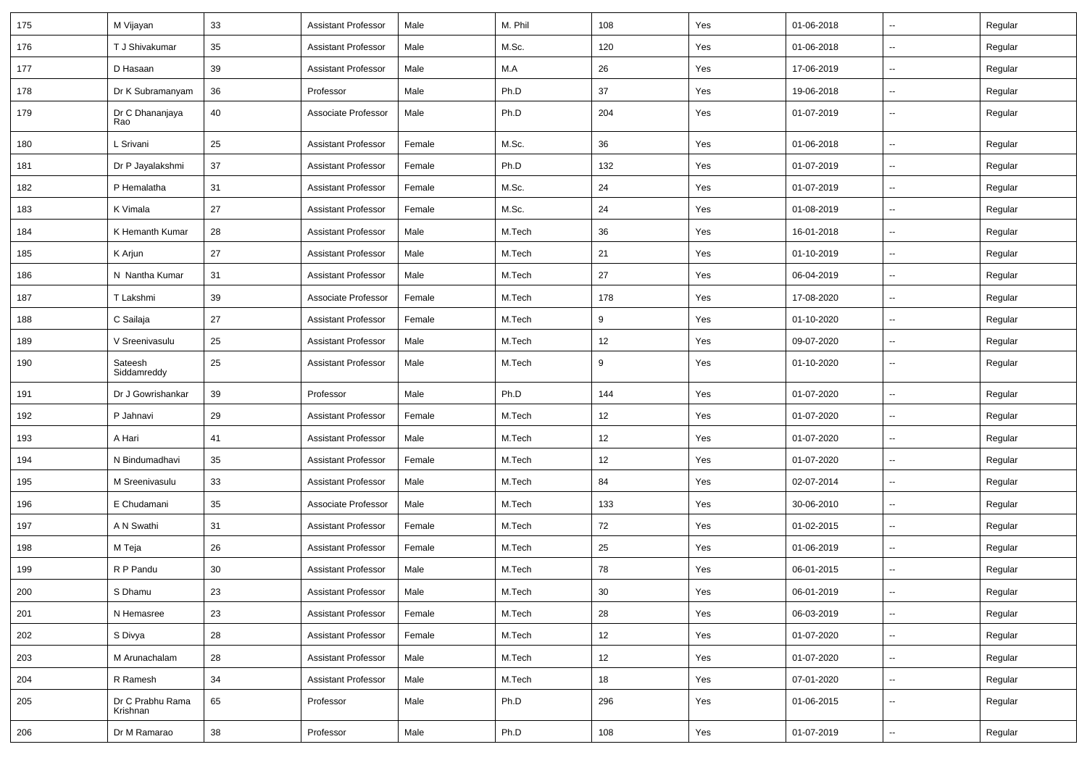| 175 | M Vijayan                    | 33 | <b>Assistant Professor</b> | Male   | M. Phil | 108    | Yes | 01-06-2018 | $\overline{\phantom{a}}$ | Regular |
|-----|------------------------------|----|----------------------------|--------|---------|--------|-----|------------|--------------------------|---------|
| 176 | T J Shivakumar               | 35 | <b>Assistant Professor</b> | Male   | M.Sc.   | 120    | Yes | 01-06-2018 | ⊷.                       | Regular |
| 177 | D Hasaan                     | 39 | <b>Assistant Professor</b> | Male   | M.A     | 26     | Yes | 17-06-2019 | Ξ.                       | Regular |
| 178 | Dr K Subramanyam             | 36 | Professor                  | Male   | Ph.D    | 37     | Yes | 19-06-2018 | $\overline{\phantom{a}}$ | Regular |
| 179 | Dr C Dhananjaya<br>Rao       | 40 | Associate Professor        | Male   | Ph.D    | 204    | Yes | 01-07-2019 | --                       | Regular |
| 180 | L Srivani                    | 25 | <b>Assistant Professor</b> | Female | M.Sc.   | 36     | Yes | 01-06-2018 | Ξ.                       | Regular |
| 181 | Dr P Jayalakshmi             | 37 | <b>Assistant Professor</b> | Female | Ph.D    | 132    | Yes | 01-07-2019 | $\mathbf{u}$             | Regular |
| 182 | P Hemalatha                  | 31 | <b>Assistant Professor</b> | Female | M.Sc.   | 24     | Yes | 01-07-2019 | $\sim$                   | Regular |
| 183 | K Vimala                     | 27 | <b>Assistant Professor</b> | Female | M.Sc.   | 24     | Yes | 01-08-2019 | ⊷.                       | Regular |
| 184 | K Hemanth Kumar              | 28 | <b>Assistant Professor</b> | Male   | M.Tech  | 36     | Yes | 16-01-2018 | $\sim$                   | Regular |
| 185 | K Arjun                      | 27 | Assistant Professor        | Male   | M.Tech  | 21     | Yes | 01-10-2019 | $\overline{\phantom{a}}$ | Regular |
| 186 | N Nantha Kumar               | 31 | <b>Assistant Professor</b> | Male   | M.Tech  | 27     | Yes | 06-04-2019 | $\overline{\phantom{a}}$ | Regular |
| 187 | T Lakshmi                    | 39 | Associate Professor        | Female | M.Tech  | 178    | Yes | 17-08-2020 | $\overline{\phantom{a}}$ | Regular |
| 188 | C Sailaja                    | 27 | <b>Assistant Professor</b> | Female | M.Tech  | 9      | Yes | 01-10-2020 | $\sim$                   | Regular |
| 189 | V Sreenivasulu               | 25 | <b>Assistant Professor</b> | Male   | M.Tech  | 12     | Yes | 09-07-2020 | н.                       | Regular |
| 190 | Sateesh<br>Siddamreddy       | 25 | <b>Assistant Professor</b> | Male   | M.Tech  | 9      | Yes | 01-10-2020 | $\sim$                   | Regular |
| 191 | Dr J Gowrishankar            | 39 | Professor                  | Male   | Ph.D    | 144    | Yes | 01-07-2020 | $\overline{\phantom{a}}$ | Regular |
| 192 | P Jahnavi                    | 29 | <b>Assistant Professor</b> | Female | M.Tech  | 12     | Yes | 01-07-2020 | $\overline{\phantom{a}}$ | Regular |
| 193 | A Hari                       | 41 | <b>Assistant Professor</b> | Male   | M.Tech  | 12     | Yes | 01-07-2020 | $\overline{\phantom{a}}$ | Regular |
| 194 | N Bindumadhavi               | 35 | <b>Assistant Professor</b> | Female | M.Tech  | 12     | Yes | 01-07-2020 | $\overline{\phantom{a}}$ | Regular |
| 195 | M Sreenivasulu               | 33 | <b>Assistant Professor</b> | Male   | M.Tech  | 84     | Yes | 02-07-2014 | $\sim$                   | Regular |
| 196 | E Chudamani                  | 35 | Associate Professor        | Male   | M.Tech  | 133    | Yes | 30-06-2010 | ⊷.                       | Regular |
| 197 | A N Swathi                   | 31 | <b>Assistant Professor</b> | Female | M.Tech  | 72     | Yes | 01-02-2015 | Ξ.                       | Regular |
| 198 | M Teja                       | 26 | <b>Assistant Professor</b> | Female | M.Tech  | 25     | Yes | 01-06-2019 | --                       | Regular |
| 199 | R P Pandu                    | 30 | <b>Assistant Professor</b> | Male   | M.Tech  | 78     | Yes | 06-01-2015 | -−                       | Regular |
| 200 | S Dhamu                      | 23 | Assistant Professor        | Male   | M.Tech  | $30\,$ | Yes | 06-01-2019 |                          | Regular |
| 201 | N Hemasree                   | 23 | <b>Assistant Professor</b> | Female | M.Tech  | 28     | Yes | 06-03-2019 | $\sim$                   | Regular |
| 202 | S Divya                      | 28 | <b>Assistant Professor</b> | Female | M.Tech  | 12     | Yes | 01-07-2020 | $\sim$                   | Regular |
| 203 | M Arunachalam                | 28 | <b>Assistant Professor</b> | Male   | M.Tech  | 12     | Yes | 01-07-2020 | н.                       | Regular |
| 204 | R Ramesh                     | 34 | <b>Assistant Professor</b> | Male   | M.Tech  | 18     | Yes | 07-01-2020 | $\sim$                   | Regular |
| 205 | Dr C Prabhu Rama<br>Krishnan | 65 | Professor                  | Male   | Ph.D    | 296    | Yes | 01-06-2015 | ⊷.                       | Regular |
| 206 | Dr M Ramarao                 | 38 | Professor                  | Male   | Ph.D    | 108    | Yes | 01-07-2019 | ₩,                       | Regular |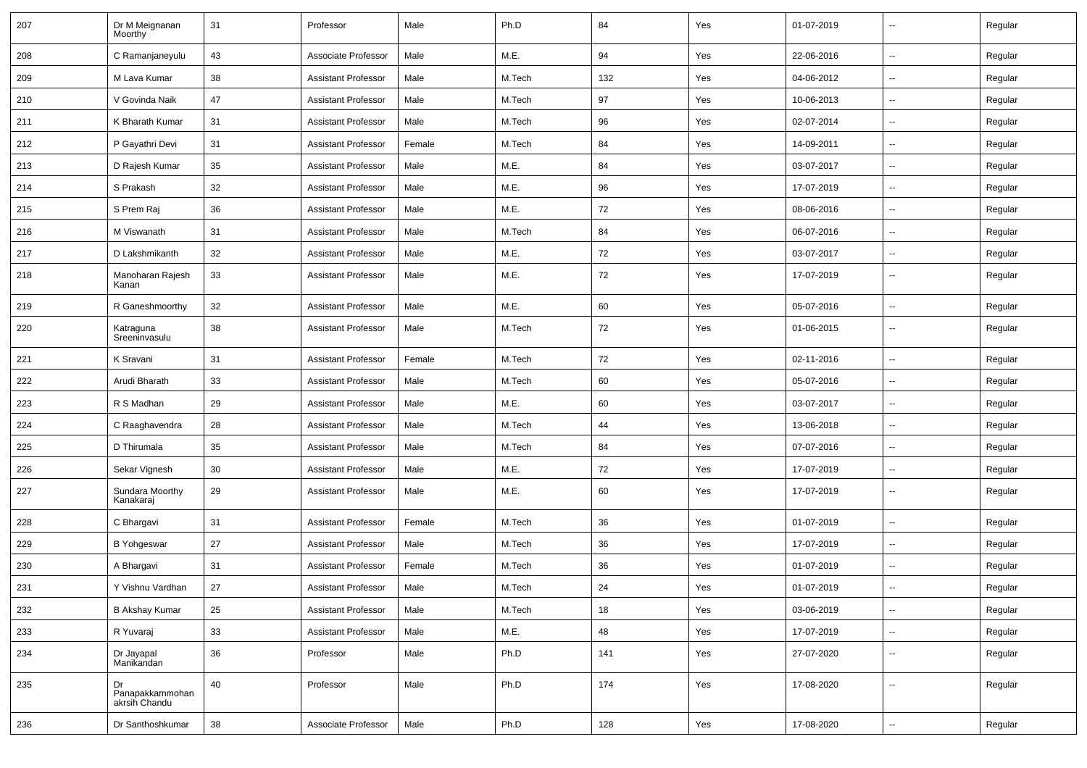| 207 | Dr M Meignanan<br>Moorthy              | 31 | Professor                  | Male   | Ph.D   | 84  | Yes | 01-07-2019 | $\overline{a}$           | Regular |
|-----|----------------------------------------|----|----------------------------|--------|--------|-----|-----|------------|--------------------------|---------|
| 208 | C Ramanjaneyulu                        | 43 | Associate Professor        | Male   | M.E.   | 94  | Yes | 22-06-2016 | $\sim$                   | Regular |
| 209 | M Lava Kumar                           | 38 | <b>Assistant Professor</b> | Male   | M.Tech | 132 | Yes | 04-06-2012 | --                       | Regular |
| 210 | V Govinda Naik                         | 47 | <b>Assistant Professor</b> | Male   | M.Tech | 97  | Yes | 10-06-2013 | $\overline{\phantom{a}}$ | Regular |
| 211 | K Bharath Kumar                        | 31 | <b>Assistant Professor</b> | Male   | M.Tech | 96  | Yes | 02-07-2014 | $\overline{\phantom{a}}$ | Regular |
| 212 | P Gayathri Devi                        | 31 | <b>Assistant Professor</b> | Female | M.Tech | 84  | Yes | 14-09-2011 |                          | Regular |
| 213 | D Rajesh Kumar                         | 35 | <b>Assistant Professor</b> | Male   | M.E.   | 84  | Yes | 03-07-2017 | $\sim$                   | Regular |
| 214 | S Prakash                              | 32 | <b>Assistant Professor</b> | Male   | M.E.   | 96  | Yes | 17-07-2019 | $\overline{\phantom{a}}$ | Regular |
| 215 | S Prem Raj                             | 36 | <b>Assistant Professor</b> | Male   | M.E.   | 72  | Yes | 08-06-2016 | --                       | Regular |
| 216 | M Viswanath                            | 31 | <b>Assistant Professor</b> | Male   | M.Tech | 84  | Yes | 06-07-2016 | --                       | Regular |
| 217 | D Lakshmikanth                         | 32 | <b>Assistant Professor</b> | Male   | M.E.   | 72  | Yes | 03-07-2017 | $\overline{\phantom{a}}$ | Regular |
| 218 | Manoharan Rajesh<br>Kanan              | 33 | <b>Assistant Professor</b> | Male   | M.E.   | 72  | Yes | 17-07-2019 | --                       | Regular |
| 219 | R Ganeshmoorthy                        | 32 | <b>Assistant Professor</b> | Male   | M.E.   | 60  | Yes | 05-07-2016 | $\sim$                   | Regular |
| 220 | Katraguna<br>Sreeninvasulu             | 38 | <b>Assistant Professor</b> | Male   | M.Tech | 72  | Yes | 01-06-2015 | $\mathbf{u}$             | Regular |
| 221 | K Sravani                              | 31 | <b>Assistant Professor</b> | Female | M.Tech | 72  | Yes | 02-11-2016 | $\sim$                   | Regular |
| 222 | Arudi Bharath                          | 33 | <b>Assistant Professor</b> | Male   | M.Tech | 60  | Yes | 05-07-2016 | $\sim$                   | Regular |
| 223 | R S Madhan                             | 29 | <b>Assistant Professor</b> | Male   | M.E.   | 60  | Yes | 03-07-2017 | --                       | Regular |
| 224 | C Raaghavendra                         | 28 | <b>Assistant Professor</b> | Male   | M.Tech | 44  | Yes | 13-06-2018 | $\mathbf{u}$             | Regular |
| 225 | D Thirumala                            | 35 | <b>Assistant Professor</b> | Male   | M.Tech | 84  | Yes | 07-07-2016 | $\overline{a}$           | Regular |
| 226 | Sekar Vignesh                          | 30 | <b>Assistant Professor</b> | Male   | M.E.   | 72  | Yes | 17-07-2019 |                          | Regular |
| 227 | Sundara Moorthy<br>Kanakaraj           | 29 | <b>Assistant Professor</b> | Male   | M.E.   | 60  | Yes | 17-07-2019 | $\mathbf{u}$             | Regular |
| 228 | C Bhargavi                             | 31 | <b>Assistant Professor</b> | Female | M.Tech | 36  | Yes | 01-07-2019 | $\mathbf{u}$             | Regular |
| 229 | <b>B</b> Yohgeswar                     | 27 | <b>Assistant Professor</b> | Male   | M.Tech | 36  | Yes | 17-07-2019 | $\sim$                   | Regular |
| 230 | A Bhargavi                             | 31 | <b>Assistant Professor</b> | Female | M.Tech | 36  | Yes | 01-07-2019 |                          | Regular |
| 231 | Y Vishnu Vardhan                       | 27 | <b>Assistant Professor</b> | Male   | M.Tech | 24  | Yes | 01-07-2019 | $\mathbf{u}$             | Regular |
| 232 | <b>B Akshay Kumar</b>                  | 25 | <b>Assistant Professor</b> | Male   | M.Tech | 18  | Yes | 03-06-2019 | $\overline{\phantom{a}}$ | Regular |
| 233 | R Yuvaraj                              | 33 | <b>Assistant Professor</b> | Male   | M.E.   | 48  | Yes | 17-07-2019 | Ξ.                       | Regular |
| 234 | Dr Jayapal<br>Manikandan               | 36 | Professor                  | Male   | Ph.D   | 141 | Yes | 27-07-2020 | $\overline{\phantom{a}}$ | Regular |
| 235 | Dr<br>Panapakkammohan<br>akrsih Chandu | 40 | Professor                  | Male   | Ph.D   | 174 | Yes | 17-08-2020 | $\sim$                   | Regular |
| 236 | Dr Santhoshkumar                       | 38 | Associate Professor        | Male   | Ph.D   | 128 | Yes | 17-08-2020 | Ξ.                       | Regular |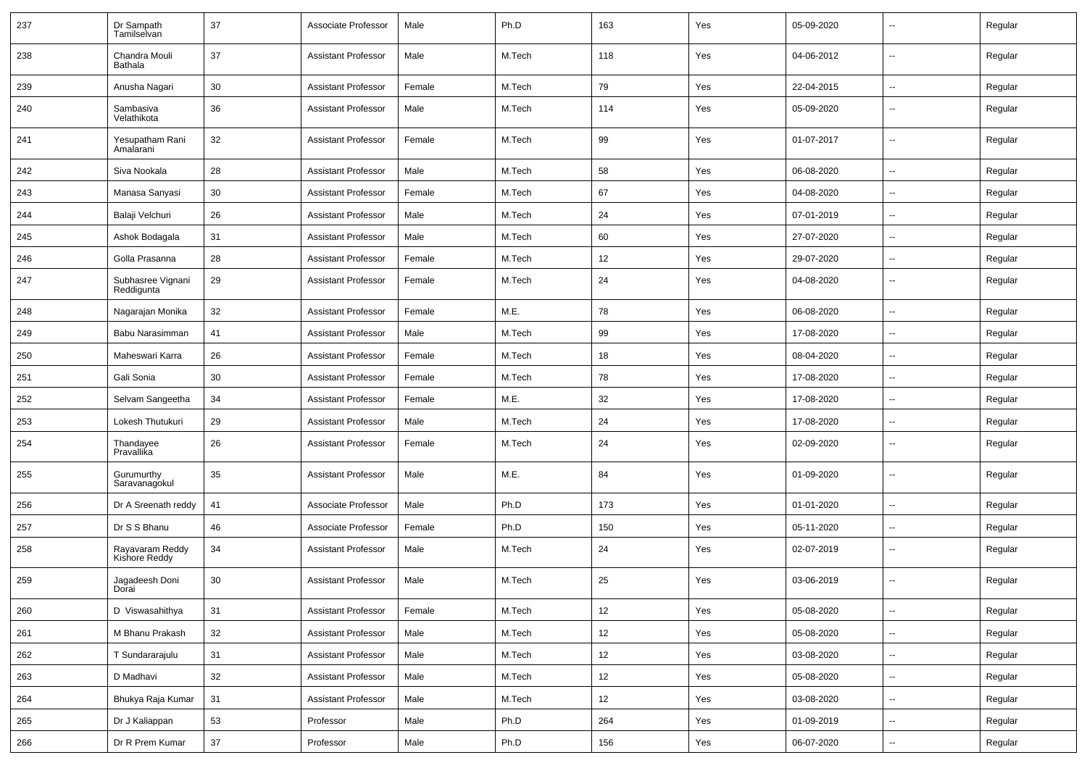| 237 | Dr Sampath<br>Tamilselvan        | 37 | Associate Professor        | Male   | Ph.D   | 163 | Yes | 05-09-2020 |                          | Regular |
|-----|----------------------------------|----|----------------------------|--------|--------|-----|-----|------------|--------------------------|---------|
| 238 | Chandra Mouli<br>Bathala         | 37 | <b>Assistant Professor</b> | Male   | M.Tech | 118 | Yes | 04-06-2012 | $\overline{\phantom{a}}$ | Regular |
| 239 | Anusha Nagari                    | 30 | <b>Assistant Professor</b> | Female | M.Tech | 79  | Yes | 22-04-2015 | $\overline{\phantom{a}}$ | Regular |
| 240 | Sambasiva<br>Velathikota         | 36 | <b>Assistant Professor</b> | Male   | M.Tech | 114 | Yes | 05-09-2020 | Ш,                       | Regular |
| 241 | Yesupatham Rani<br>Amalarani     | 32 | <b>Assistant Professor</b> | Female | M.Tech | 99  | Yes | 01-07-2017 | $\overline{\phantom{a}}$ | Regular |
| 242 | Siva Nookala                     | 28 | <b>Assistant Professor</b> | Male   | M.Tech | 58  | Yes | 06-08-2020 | --                       | Regular |
| 243 | Manasa Sanyasi                   | 30 | <b>Assistant Professor</b> | Female | M.Tech | 67  | Yes | 04-08-2020 | $\overline{\phantom{a}}$ | Regular |
| 244 | Balaji Velchuri                  | 26 | <b>Assistant Professor</b> | Male   | M.Tech | 24  | Yes | 07-01-2019 | $\overline{\phantom{a}}$ | Regular |
| 245 | Ashok Bodagala                   | 31 | <b>Assistant Professor</b> | Male   | M.Tech | 60  | Yes | 27-07-2020 | $\overline{\phantom{a}}$ | Regular |
| 246 | Golla Prasanna                   | 28 | <b>Assistant Professor</b> | Female | M.Tech | 12  | Yes | 29-07-2020 | $\overline{\phantom{a}}$ | Regular |
| 247 | Subhasree Vignani<br>Reddigunta  | 29 | <b>Assistant Professor</b> | Female | M.Tech | 24  | Yes | 04-08-2020 | $\overline{\phantom{a}}$ | Regular |
| 248 | Nagarajan Monika                 | 32 | <b>Assistant Professor</b> | Female | M.E.   | 78  | Yes | 06-08-2020 | -−                       | Regular |
| 249 | Babu Narasimman                  | 41 | <b>Assistant Professor</b> | Male   | M.Tech | 99  | Yes | 17-08-2020 | Ш,                       | Regular |
| 250 | Maheswari Karra                  | 26 | <b>Assistant Professor</b> | Female | M.Tech | 18  | Yes | 08-04-2020 | --                       | Regular |
| 251 | Gali Sonia                       | 30 | <b>Assistant Professor</b> | Female | M.Tech | 78  | Yes | 17-08-2020 | --                       | Regular |
| 252 | Selvam Sangeetha                 | 34 | <b>Assistant Professor</b> | Female | M.E.   | 32  | Yes | 17-08-2020 | $\sim$                   | Regular |
| 253 | Lokesh Thutukuri                 | 29 | <b>Assistant Professor</b> | Male   | M.Tech | 24  | Yes | 17-08-2020 | $\sim$                   | Regular |
| 254 | Thandayee<br>Pravallika          | 26 | <b>Assistant Professor</b> | Female | M.Tech | 24  | Yes | 02-09-2020 | $\overline{\phantom{a}}$ | Regular |
| 255 | Gurumurthy<br>Saravanagokul      | 35 | <b>Assistant Professor</b> | Male   | M.E.   | 84  | Yes | 01-09-2020 | $\overline{\phantom{a}}$ | Regular |
| 256 | Dr A Sreenath reddy              | 41 | Associate Professor        | Male   | Ph.D   | 173 | Yes | 01-01-2020 | --                       | Regular |
| 257 | Dr S S Bhanu                     | 46 | Associate Professor        | Female | Ph.D   | 150 | Yes | 05-11-2020 | -−                       | Regular |
| 258 | Rayavaram Reddy<br>Kishore Reddy | 34 | <b>Assistant Professor</b> | Male   | M.Tech | 24  | Yes | 02-07-2019 | --                       | Regular |
| 259 | Jagadeesh Doni<br>Dorai          | 30 | <b>Assistant Professor</b> | Male   | M.Tech | 25  | Yes | 03-06-2019 |                          | Regular |
| 260 | D Viswasahithya                  | 31 | <b>Assistant Professor</b> | Female | M.Tech | 12  | Yes | 05-08-2020 | $\overline{\phantom{a}}$ | Regular |
| 261 | M Bhanu Prakash                  | 32 | Assistant Professor        | Male   | M.Tech | 12  | Yes | 05-08-2020 | $\sim$                   | Regular |
| 262 | T Sundararajulu                  | 31 | <b>Assistant Professor</b> | Male   | M.Tech | 12  | Yes | 03-08-2020 | $\sim$                   | Regular |
| 263 | D Madhavi                        | 32 | <b>Assistant Professor</b> | Male   | M.Tech | 12  | Yes | 05-08-2020 | $\sim$                   | Regular |
| 264 | Bhukya Raja Kumar                | 31 | Assistant Professor        | Male   | M.Tech | 12  | Yes | 03-08-2020 | $\sim$                   | Regular |
| 265 | Dr J Kaliappan                   | 53 | Professor                  | Male   | Ph.D   | 264 | Yes | 01-09-2019 | $\sim$                   | Regular |
| 266 | Dr R Prem Kumar                  | 37 | Professor                  | Male   | Ph.D   | 156 | Yes | 06-07-2020 | $\overline{\phantom{a}}$ | Regular |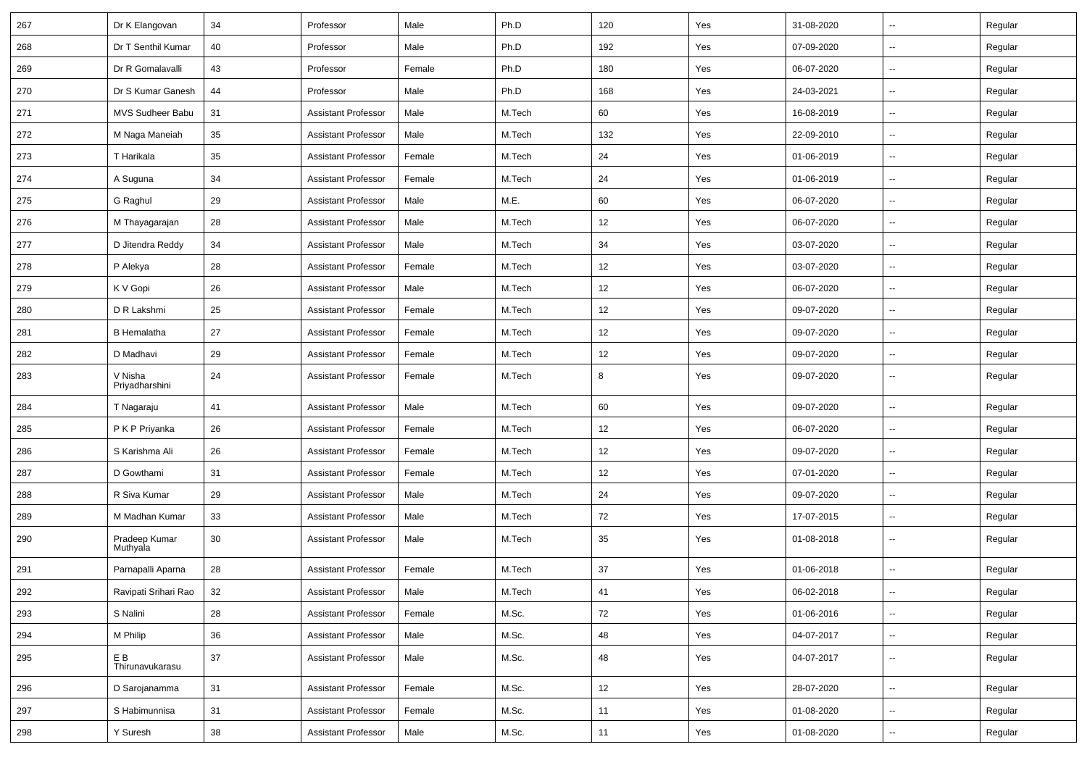| 267 | Dr K Elangovan            | 34     | Professor                  | Male   | Ph.D   | 120  | Yes | 31-08-2020 |                          | Regular |
|-----|---------------------------|--------|----------------------------|--------|--------|------|-----|------------|--------------------------|---------|
| 268 | Dr T Senthil Kumar        | 40     | Professor                  | Male   | Ph.D   | 192  | Yes | 07-09-2020 | $\sim$                   | Regular |
| 269 | Dr R Gomalavalli          | 43     | Professor                  | Female | Ph.D   | 180  | Yes | 06-07-2020 |                          | Regular |
| 270 | Dr S Kumar Ganesh         | 44     | Professor                  | Male   | Ph.D   | 168  | Yes | 24-03-2021 |                          | Regular |
| 271 | MVS Sudheer Babu          | 31     | <b>Assistant Professor</b> | Male   | M.Tech | 60   | Yes | 16-08-2019 | $\sim$                   | Regular |
| 272 | M Naga Maneiah            | 35     | <b>Assistant Professor</b> | Male   | M.Tech | 132  | Yes | 22-09-2010 | $\mathbf{u}$             | Regular |
| 273 | T Harikala                | 35     | <b>Assistant Professor</b> | Female | M.Tech | 24   | Yes | 01-06-2019 | $\sim$                   | Regular |
| 274 | A Suguna                  | 34     | <b>Assistant Professor</b> | Female | M.Tech | 24   | Yes | 01-06-2019 | $\sim$                   | Regular |
| 275 | G Raghul                  | 29     | <b>Assistant Professor</b> | Male   | M.E.   | 60   | Yes | 06-07-2020 | $\overline{\phantom{a}}$ | Regular |
| 276 | M Thayagarajan            | 28     | <b>Assistant Professor</b> | Male   | M.Tech | 12   | Yes | 06-07-2020 |                          | Regular |
| 277 | D Jitendra Reddy          | 34     | <b>Assistant Professor</b> | Male   | M.Tech | 34   | Yes | 03-07-2020 | $\overline{\phantom{a}}$ | Regular |
| 278 | P Alekya                  | 28     | <b>Assistant Professor</b> | Female | M.Tech | 12   | Yes | 03-07-2020 | $\mathbf{u}$             | Regular |
| 279 | K V Gopi                  | 26     | <b>Assistant Professor</b> | Male   | M.Tech | 12   | Yes | 06-07-2020 |                          | Regular |
| 280 | D R Lakshmi               | 25     | <b>Assistant Professor</b> | Female | M.Tech | 12   | Yes | 09-07-2020 | $\sim$                   | Regular |
| 281 | <b>B</b> Hemalatha        | 27     | <b>Assistant Professor</b> | Female | M.Tech | 12   | Yes | 09-07-2020 |                          | Regular |
| 282 | D Madhavi                 | 29     | <b>Assistant Professor</b> | Female | M.Tech | 12   | Yes | 09-07-2020 | $\mathbf{u}$             | Regular |
| 283 | V Nisha<br>Priyadharshini | 24     | <b>Assistant Professor</b> | Female | M.Tech | 8    | Yes | 09-07-2020 | $\overline{\phantom{a}}$ | Regular |
| 284 | T Nagaraju                | 41     | <b>Assistant Professor</b> | Male   | M.Tech | 60   | Yes | 09-07-2020 | $\mathbf{u}$             | Regular |
| 285 | P K P Priyanka            | 26     | <b>Assistant Professor</b> | Female | M.Tech | 12   | Yes | 06-07-2020 | $\sim$                   | Regular |
| 286 | S Karishma Ali            | 26     | Assistant Professor        | Female | M.Tech | 12   | Yes | 09-07-2020 |                          | Regular |
| 287 | D Gowthami                | 31     | <b>Assistant Professor</b> | Female | M.Tech | 12   | Yes | 07-01-2020 | $\sim$                   | Regular |
| 288 | R Siva Kumar              | 29     | Assistant Professor        | Male   | M.Tech | 24   | Yes | 09-07-2020 | $\sim$                   | Regular |
| 289 | M Madhan Kumar            | 33     | <b>Assistant Professor</b> | Male   | M.Tech | 72   | Yes | 17-07-2015 |                          | Regular |
| 290 | Pradeep Kumar<br>Muthyala | 30     | <b>Assistant Professor</b> | Male   | M.Tech | 35   | Yes | 01-08-2018 | $\overline{\phantom{a}}$ | Regular |
| 291 | Parnapalli Aparna         | 28     | <b>Assistant Professor</b> | Female | M.Tech | 37   | Yes | 01-06-2018 | $\sim$                   | Regular |
| 292 | Ravipati Srihari Rao      | 32     | Assistant Professor        | Male   | M.Tech | $41$ | Yes | 06-02-2018 |                          | Regular |
| 293 | S Nalini                  | 28     | Assistant Professor        | Female | M.Sc.  | 72   | Yes | 01-06-2016 | $\sim$                   | Regular |
| 294 | M Philip                  | 36     | <b>Assistant Professor</b> | Male   | M.Sc.  | 48   | Yes | 04-07-2017 | $\sim$                   | Regular |
| 295 | E B<br>Thirunavukarasu    | $37\,$ | <b>Assistant Professor</b> | Male   | M.Sc.  | 48   | Yes | 04-07-2017 | $\sim$                   | Regular |
| 296 | D Sarojanamma             | 31     | Assistant Professor        | Female | M.Sc.  | 12   | Yes | 28-07-2020 | $\sim$                   | Regular |
| 297 | S Habimunnisa             | 31     | <b>Assistant Professor</b> | Female | M.Sc.  | 11   | Yes | 01-08-2020 | $\sim$                   | Regular |
| 298 | Y Suresh                  | $38\,$ | <b>Assistant Professor</b> | Male   | M.Sc.  | 11   | Yes | 01-08-2020 | $\overline{\phantom{a}}$ | Regular |